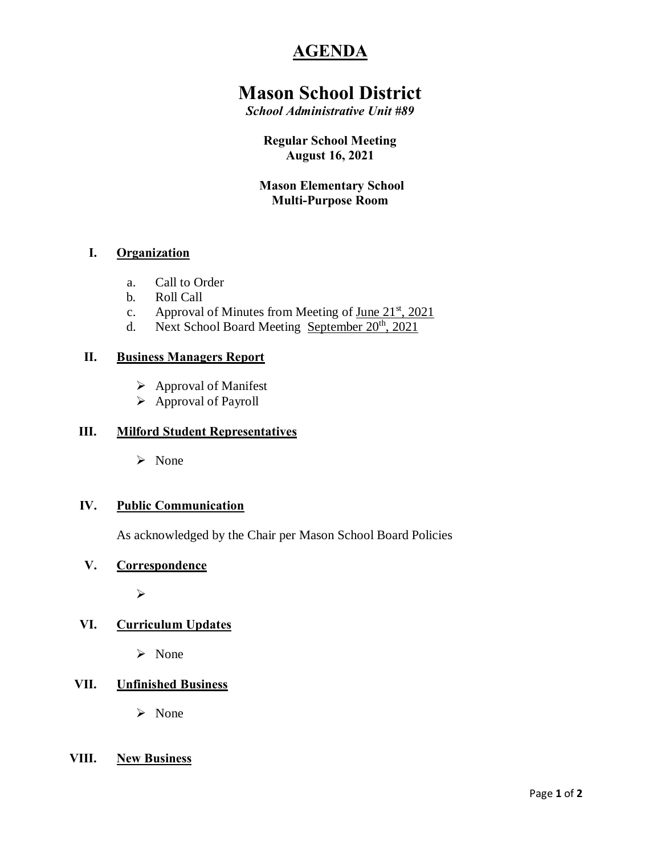# **AGENDA**

# **Mason School District**

*School Administrative Unit #89*

#### **Regular School Meeting August 16, 2021**

### **Mason Elementary School Multi-Purpose Room**

### **I. Organization**

- a. Call to Order
- b. Roll Call
- c. Approval of Minutes from Meeting of June  $21^{st}$ ,  $2021$
- d. Next School Board Meeting September  $20<sup>th</sup>$ , 2021

#### **II. Business Managers Report**

- $\triangleright$  Approval of Manifest
- $\triangleright$  Approval of Payroll

#### **III. Milford Student Representatives**

ÿ None

#### **IV. Public Communication**

As acknowledged by the Chair per Mason School Board Policies

#### **V. Correspondence**

ÿ

## **VI. Curriculum Updates**

 $\triangleright$  None

## **VII. Unfinished Business**

ÿ None

#### **VIII. New Business**